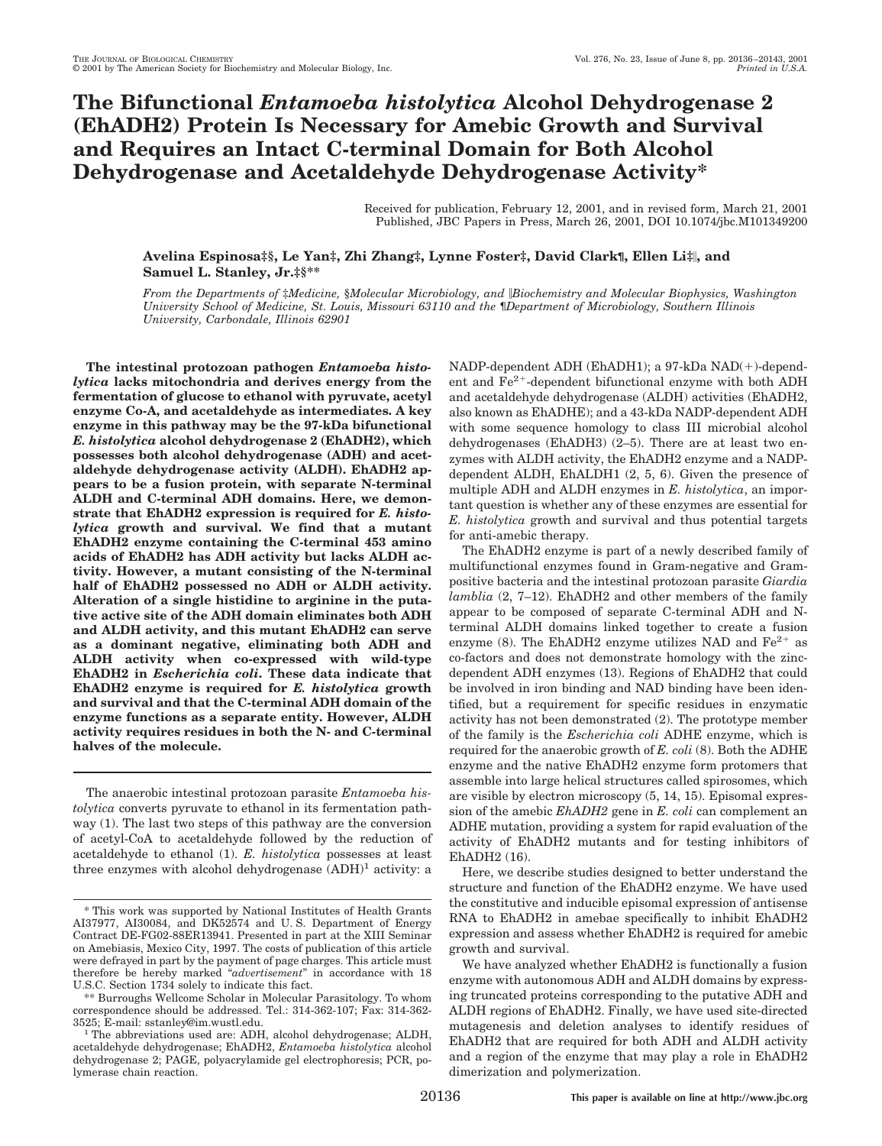# **The Bifunctional** *Entamoeba histolytica* **Alcohol Dehydrogenase 2 (EhADH2) Protein Is Necessary for Amebic Growth and Survival and Requires an Intact C-terminal Domain for Both Alcohol Dehydrogenase and Acetaldehyde Dehydrogenase Activity\***

Received for publication, February 12, 2001, and in revised form, March 21, 2001 Published, JBC Papers in Press, March 26, 2001, DOI 10.1074/jbc.M101349200

## **Avelina Espinosa‡§, Le Yan‡, Zhi Zhang‡, Lynne Foster‡, David Clark¶, Ellen Li‡**i**, and Samuel L. Stanley, Jr.‡§\*\***

*From the Departments of* ‡*Medicine,* §*Molecular Microbiology, and* i*Biochemistry and Molecular Biophysics, Washington University School of Medicine, St. Louis, Missouri 63110 and the* ¶*Department of Microbiology, Southern Illinois University, Carbondale, Illinois 62901*

**The intestinal protozoan pathogen** *Entamoeba histolytica* **lacks mitochondria and derives energy from the fermentation of glucose to ethanol with pyruvate, acetyl enzyme Co-A, and acetaldehyde as intermediates. A key enzyme in this pathway may be the 97-kDa bifunctional** *E. histolytica* **alcohol dehydrogenase 2 (EhADH2), which possesses both alcohol dehydrogenase (ADH) and acetaldehyde dehydrogenase activity (ALDH). EhADH2 appears to be a fusion protein, with separate N-terminal ALDH and C-terminal ADH domains. Here, we demonstrate that EhADH2 expression is required for** *E. histolytica* **growth and survival. We find that a mutant EhADH2 enzyme containing the C-terminal 453 amino acids of EhADH2 has ADH activity but lacks ALDH activity. However, a mutant consisting of the N-terminal half of EhADH2 possessed no ADH or ALDH activity. Alteration of a single histidine to arginine in the putative active site of the ADH domain eliminates both ADH and ALDH activity, and this mutant EhADH2 can serve as a dominant negative, eliminating both ADH and ALDH activity when co-expressed with wild-type EhADH2 in** *Escherichia coli***. These data indicate that EhADH2 enzyme is required for** *E. histolytica* **growth and survival and that the C-terminal ADH domain of the enzyme functions as a separate entity. However, ALDH activity requires residues in both the N- and C-terminal halves of the molecule.**

The anaerobic intestinal protozoan parasite *Entamoeba histolytica* converts pyruvate to ethanol in its fermentation pathway (1). The last two steps of this pathway are the conversion of acetyl-CoA to acetaldehyde followed by the reduction of acetaldehyde to ethanol (1). *E. histolytica* possesses at least three enzymes with alcohol dehydrogenase  $(ADH)^1$  activity: a

\*\* Burroughs Wellcome Scholar in Molecular Parasitology. To whom correspondence should be addressed. Tel.: 314-362-107; Fax: 314-362 $NADP-dependent ADH (EhADH1); a 97-kDa NAD(+)-dependent.$ ent and  $\text{Fe}^{2+}$ -dependent bifunctional enzyme with both ADH and acetaldehyde dehydrogenase (ALDH) activities (EhADH2, also known as EhADHE); and a 43-kDa NADP-dependent ADH with some sequence homology to class III microbial alcohol dehydrogenases (EhADH3) (2–5). There are at least two enzymes with ALDH activity, the EhADH2 enzyme and a NADPdependent ALDH, EhALDH1 (2, 5, 6). Given the presence of multiple ADH and ALDH enzymes in *E. histolytica*, an important question is whether any of these enzymes are essential for *E. histolytica* growth and survival and thus potential targets for anti-amebic therapy.

The EhADH2 enzyme is part of a newly described family of multifunctional enzymes found in Gram-negative and Grampositive bacteria and the intestinal protozoan parasite *Giardia lamblia* (2, 7–12). EhADH2 and other members of the family appear to be composed of separate C-terminal ADH and Nterminal ALDH domains linked together to create a fusion enzyme (8). The EhADH2 enzyme utilizes NAD and  $Fe^{2+}$  as co-factors and does not demonstrate homology with the zincdependent ADH enzymes (13). Regions of EhADH2 that could be involved in iron binding and NAD binding have been identified, but a requirement for specific residues in enzymatic activity has not been demonstrated (2). The prototype member of the family is the *Escherichia coli* ADHE enzyme, which is required for the anaerobic growth of *E. coli* (8). Both the ADHE enzyme and the native EhADH2 enzyme form protomers that assemble into large helical structures called spirosomes, which are visible by electron microscopy (5, 14, 15). Episomal expression of the amebic *EhADH2* gene in *E. coli* can complement an ADHE mutation, providing a system for rapid evaluation of the activity of EhADH2 mutants and for testing inhibitors of EhADH2 (16).

Here, we describe studies designed to better understand the structure and function of the EhADH2 enzyme. We have used the constitutive and inducible episomal expression of antisense RNA to EhADH2 in amebae specifically to inhibit EhADH2 expression and assess whether EhADH2 is required for amebic growth and survival.

We have analyzed whether EhADH2 is functionally a fusion enzyme with autonomous ADH and ALDH domains by expressing truncated proteins corresponding to the putative ADH and ALDH regions of EhADH2. Finally, we have used site-directed mutagenesis and deletion analyses to identify residues of EhADH2 that are required for both ADH and ALDH activity and a region of the enzyme that may play a role in EhADH2 dimerization and polymerization.

<sup>\*</sup> This work was supported by National Institutes of Health Grants AI37977, AI30084, and DK52574 and U. S. Department of Energy Contract DE-FG02-88ER13941. Presented in part at the XIII Seminar on Amebiasis, Mexico City, 1997. The costs of publication of this article were defrayed in part by the payment of page charges. This article must therefore be hereby marked "*advertisement*" in accordance with 18 U.S.C. Section 1734 solely to indicate this fact.

<sup>3525;</sup> E-mail: sstanley@im.wustl.edu. <sup>1</sup> The abbreviations used are: ADH, alcohol dehydrogenase; ALDH, acetaldehyde dehydrogenase; EhADH2, *Entamoeba histolytica* alcohol dehydrogenase 2; PAGE, polyacrylamide gel electrophoresis; PCR, polymerase chain reaction.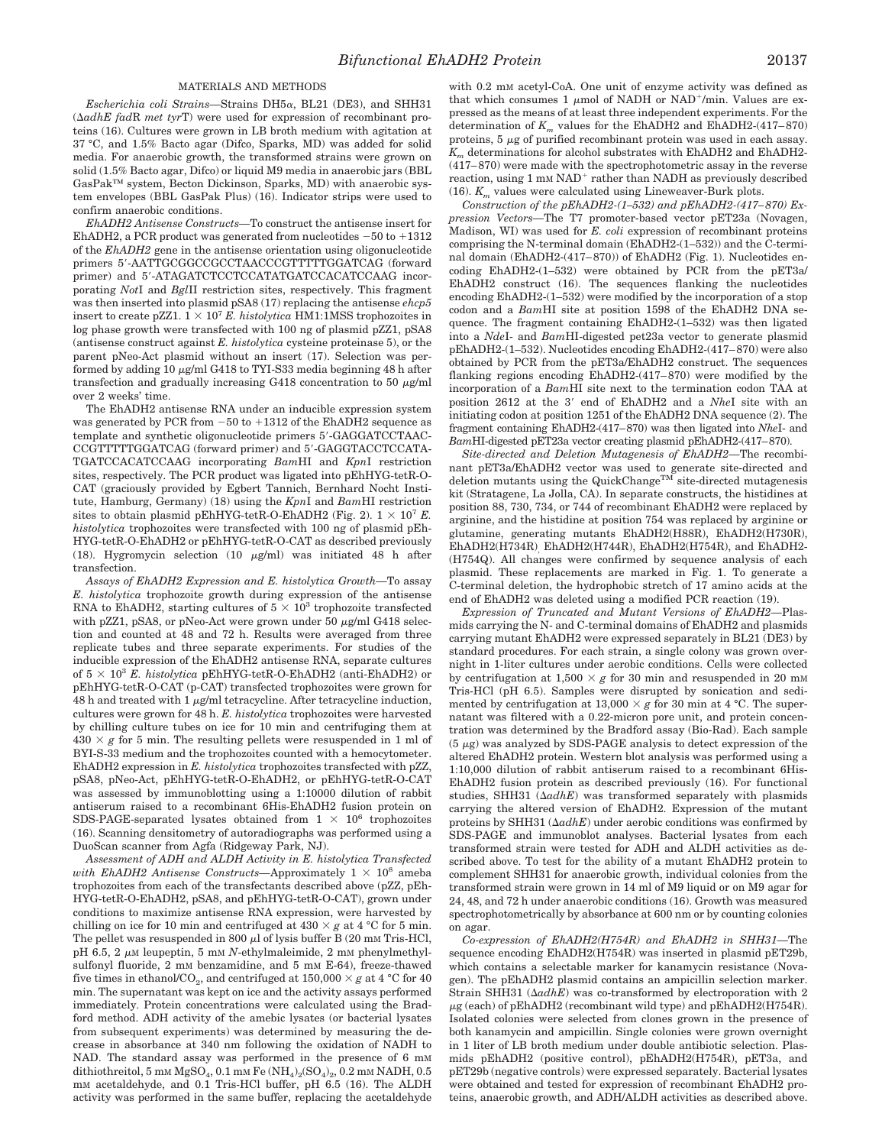## MATERIALS AND METHODS

*Escherichia coli Strains—*Strains DH5a, BL21 (DE3), and SHH31  $(\Delta a d h E \text{ f} a dR \text{ met } tyrT)$  were used for expression of recombinant proteins (16). Cultures were grown in LB broth medium with agitation at 37 °C, and 1.5% Bacto agar (Difco, Sparks, MD) was added for solid media. For anaerobic growth, the transformed strains were grown on solid (1.5% Bacto agar, Difco) or liquid M9 media in anaerobic jars (BBL GasPak™ system, Becton Dickinson, Sparks, MD) with anaerobic system envelopes (BBL GasPak Plus) (16). Indicator strips were used to confirm anaerobic conditions.

*EhADH2 Antisense Constructs—*To construct the antisense insert for EhADH2, a PCR product was generated from nucleotides  $-50$  to  $+1312$ of the *EhADH2* gene in the antisense orientation using oligonucleotide primers 5'-AATTGCGGCCGCCTAACCCGTTTTTGGATCAG (forward primer) and 5'-ATAGATCTCCTCCATATGATCCACATCCAAG incorporating *Not*I and *Bgl*II restriction sites, respectively. This fragment was then inserted into plasmid pSA8 (17) replacing the antisense *ehcp5* insert to create pZZ1.  $1 \times 10^7$  *E. histolytica* HM1:1MSS trophozoites in log phase growth were transfected with 100 ng of plasmid pZZ1, pSA8 (antisense construct against *E. histolytica* cysteine proteinase 5), or the parent pNeo-Act plasmid without an insert (17). Selection was performed by adding  $10 \mu\text{g/ml G}418$  to TYI-S33 media beginning  $48$  h after transfection and gradually increasing G418 concentration to 50  $\mu$ g/ml over 2 weeks' time.

The EhADH2 antisense RNA under an inducible expression system was generated by PCR from  $-50$  to  $+1312$  of the EhADH2 sequence as template and synthetic oligonucleotide primers 5'-GAGGATCCTAAC-CCGTTTTTGGATCAG (forward primer) and 5'-GAGGTACCTCCATA-TGATCCACATCCAAG incorporating *Bam*HI and *Kpn*I restriction sites, respectively. The PCR product was ligated into pEhHYG-tetR-O-CAT (graciously provided by Egbert Tannich, Bernhard Nocht Institute, Hamburg, Germany) (18) using the *Kpn*I and *Bam*HI restriction sites to obtain plasmid pEhHYG-tetR-O-EhADH2 (Fig. 2).  $1 \times 10^7$  *E*. *histolytica* trophozoites were transfected with 100 ng of plasmid pEh-HYG-tetR-O-EhADH2 or pEhHYG-tetR-O-CAT as described previously (18). Hygromycin selection (10  $\mu$ g/ml) was initiated 48 h after transfection.

*Assays of EhADH2 Expression and E. histolytica Growth—*To assay *E. histolytica* trophozoite growth during expression of the antisense RNA to EhADH2, starting cultures of  $5 \times 10^3$  trophozoite transfected with pZZ1, pSA8, or pNeo-Act were grown under 50  $\mu$ g/ml G418 selection and counted at 48 and 72 h. Results were averaged from three replicate tubes and three separate experiments. For studies of the inducible expression of the EhADH2 antisense RNA, separate cultures of  $5 \times 10^3$  *E. histolytica* pEhHYG-tetR-O-EhADH2 (anti-EhADH2) or pEhHYG-tetR-O-CAT (p-CAT) transfected trophozoites were grown for 48 h and treated with  $1 \mu g/ml$  tetracycline. After tetracycline induction, cultures were grown for 48 h. *E. histolytica* trophozoites were harvested by chilling culture tubes on ice for 10 min and centrifuging them at  $430 \times g$  for 5 min. The resulting pellets were resuspended in 1 ml of BYI-S-33 medium and the trophozoites counted with a hemocytometer. EhADH2 expression in *E. histolytica* trophozoites transfected with pZZ, pSA8, pNeo-Act, pEhHYG-tetR-O-EhADH2, or pEhHYG-tetR-O-CAT was assessed by immunoblotting using a 1:10000 dilution of rabbit antiserum raised to a recombinant 6His-EhADH2 fusion protein on SDS-PAGE-separated lysates obtained from  $1 \times 10^6$  trophozoites (16). Scanning densitometry of autoradiographs was performed using a DuoScan scanner from Agfa (Ridgeway Park, NJ).

*Assessment of ADH and ALDH Activity in E. histolytica Transfected with EhADH2 Antisense Constructs*—Approximately  $1 \times 10^8$  ameba trophozoites from each of the transfectants described above (pZZ, pEh-HYG-tetR-O-EhADH2, pSA8, and pEhHYG-tetR-O-CAT), grown under conditions to maximize antisense RNA expression, were harvested by chilling on ice for 10 min and centrifuged at  $430 \times g$  at 4 °C for 5 min. The pellet was resuspended in 800  $\mu$ l of lysis buffer B (20 mM Tris-HCl, pH 6.5, 2  $\mu$ M leupeptin, 5 mM *N*-ethylmaleimide, 2 mM phenylmethylsulfonyl fluoride, 2 mM benzamidine, and 5 mM E-64), freeze-thawed five times in ethanol/CO<sub>2</sub>, and centrifuged at  $150,000 \times g$  at 4 °C for 40 min. The supernatant was kept on ice and the activity assays performed immediately. Protein concentrations were calculated using the Bradford method. ADH activity of the amebic lysates (or bacterial lysates from subsequent experiments) was determined by measuring the decrease in absorbance at 340 nm following the oxidation of NADH to NAD. The standard assay was performed in the presence of 6 mm dithiothreitol, 5 mm  ${\rm MgSO_4}$ , 0.1 mm Fe $({\rm NH_4})_2({\rm SO}_4)_2,$  0.2 mm NADH, 0.5 mM acetaldehyde, and 0.1 Tris-HCl buffer, pH 6.5 (16). The ALDH activity was performed in the same buffer, replacing the acetaldehyde with 0.2 mM acetyl-CoA. One unit of enzyme activity was defined as that which consumes 1  $\mu$ mol of NADH or NAD<sup>+</sup>/min. Values are expressed as the means of at least three independent experiments. For the determination of  $K_m$  values for the EhADH2 and EhADH2-(417–870) proteins,  $5 \mu g$  of purified recombinant protein was used in each assay. *Km* determinations for alcohol substrates with EhADH2 and EhADH2- (417–870) were made with the spectrophotometric assay in the reverse reaction, using 1 mM NAD<sup>+</sup> rather than NADH as previously described (16).  $\mathcal{K}_m$  values were calculated using Lineweaver-Burk plots.

*Construction of the pEhADH2-(1–532) and pEhADH2-(417–870) Expression Vectors—*The T7 promoter-based vector pET23a (Novagen, Madison, WI) was used for *E. coli* expression of recombinant proteins comprising the N-terminal domain (EhADH2-(1–532)) and the C-terminal domain (EhADH2-(417–870)) of EhADH2 (Fig. 1). Nucleotides encoding EhADH2-(1–532) were obtained by PCR from the pET3a/ EhADH2 construct (16). The sequences flanking the nucleotides encoding EhADH2-(1–532) were modified by the incorporation of a stop codon and a *Bam*HI site at position 1598 of the EhADH2 DNA sequence. The fragment containing EhADH2-(1–532) was then ligated into a *Nde*I- and *Bam*HI-digested pet23a vector to generate plasmid pEhADH2-(1–532). Nucleotides encoding EhADH2-(417–870) were also obtained by PCR from the pET3a/EhADH2 construct. The sequences flanking regions encoding EhADH2-(417–870) were modified by the incorporation of a *Bam*HI site next to the termination codon TAA at position 2612 at the 3' end of EhADH2 and a *NheI* site with an initiating codon at position 1251 of the EhADH2 DNA sequence (2). The fragment containing EhADH2-(417–870) was then ligated into *Nhe*I- and *Bam*HI-digested pET23a vector creating plasmid pEhADH2-(417–870).

*Site-directed and Deletion Mutagenesis of EhADH2—*The recombinant pET3a/EhADH2 vector was used to generate site-directed and deletion mutants using the QuickChange<sup>TM</sup> site-directed mutagenesis kit (Stratagene, La Jolla, CA). In separate constructs, the histidines at position 88, 730, 734, or 744 of recombinant EhADH2 were replaced by arginine, and the histidine at position 754 was replaced by arginine or glutamine, generating mutants EhADH2(H88R), EhADH2(H730R), EhADH2(H734R), EhADH2(H744R), EhADH2(H754R), and EhADH2- (H754Q). All changes were confirmed by sequence analysis of each plasmid. These replacements are marked in Fig. 1. To generate a C-terminal deletion, the hydrophobic stretch of 17 amino acids at the end of EhADH2 was deleted using a modified PCR reaction (19).

*Expression of Truncated and Mutant Versions of EhADH2—*Plasmids carrying the N- and C-terminal domains of EhADH2 and plasmids carrying mutant EhADH2 were expressed separately in BL21 (DE3) by standard procedures. For each strain, a single colony was grown overnight in 1-liter cultures under aerobic conditions. Cells were collected by centrifugation at  $1,500 \times g$  for 30 min and resuspended in 20 mm Tris-HCl (pH 6.5). Samples were disrupted by sonication and sedimented by centrifugation at  $13,000 \times g$  for 30 min at 4 °C. The supernatant was filtered with a 0.22-micron pore unit, and protein concentration was determined by the Bradford assay (Bio-Rad). Each sample  $(5 \mu g)$  was analyzed by SDS-PAGE analysis to detect expression of the altered EhADH2 protein. Western blot analysis was performed using a 1:10,000 dilution of rabbit antiserum raised to a recombinant 6His-EhADH2 fusion protein as described previously (16). For functional studies, SHH31  $(\Delta a dhE)$  was transformed separately with plasmids carrying the altered version of EhADH2. Expression of the mutant proteins by SHH31  $(\Delta a d h E)$  under aerobic conditions was confirmed by SDS-PAGE and immunoblot analyses. Bacterial lysates from each transformed strain were tested for ADH and ALDH activities as described above. To test for the ability of a mutant EhADH2 protein to complement SHH31 for anaerobic growth, individual colonies from the transformed strain were grown in 14 ml of M9 liquid or on M9 agar for 24, 48, and 72 h under anaerobic conditions (16). Growth was measured spectrophotometrically by absorbance at 600 nm or by counting colonies on agar.

*Co-expression of EhADH2(H754R) and EhADH2 in SHH31—*The sequence encoding EhADH2(H754R) was inserted in plasmid pET29b, which contains a selectable marker for kanamycin resistance (Novagen). The pEhADH2 plasmid contains an ampicillin selection marker. Strain SHH31 ( $\Delta a d h E$ ) was co-transformed by electroporation with 2  $\mu$ g (each) of pEhADH2 (recombinant wild type) and pEhADH2(H754R). Isolated colonies were selected from clones grown in the presence of both kanamycin and ampicillin. Single colonies were grown overnight in 1 liter of LB broth medium under double antibiotic selection. Plasmids pEhADH2 (positive control), pEhADH2(H754R), pET3a, and pET29b (negative controls) were expressed separately. Bacterial lysates were obtained and tested for expression of recombinant EhADH2 proteins, anaerobic growth, and ADH/ALDH activities as described above.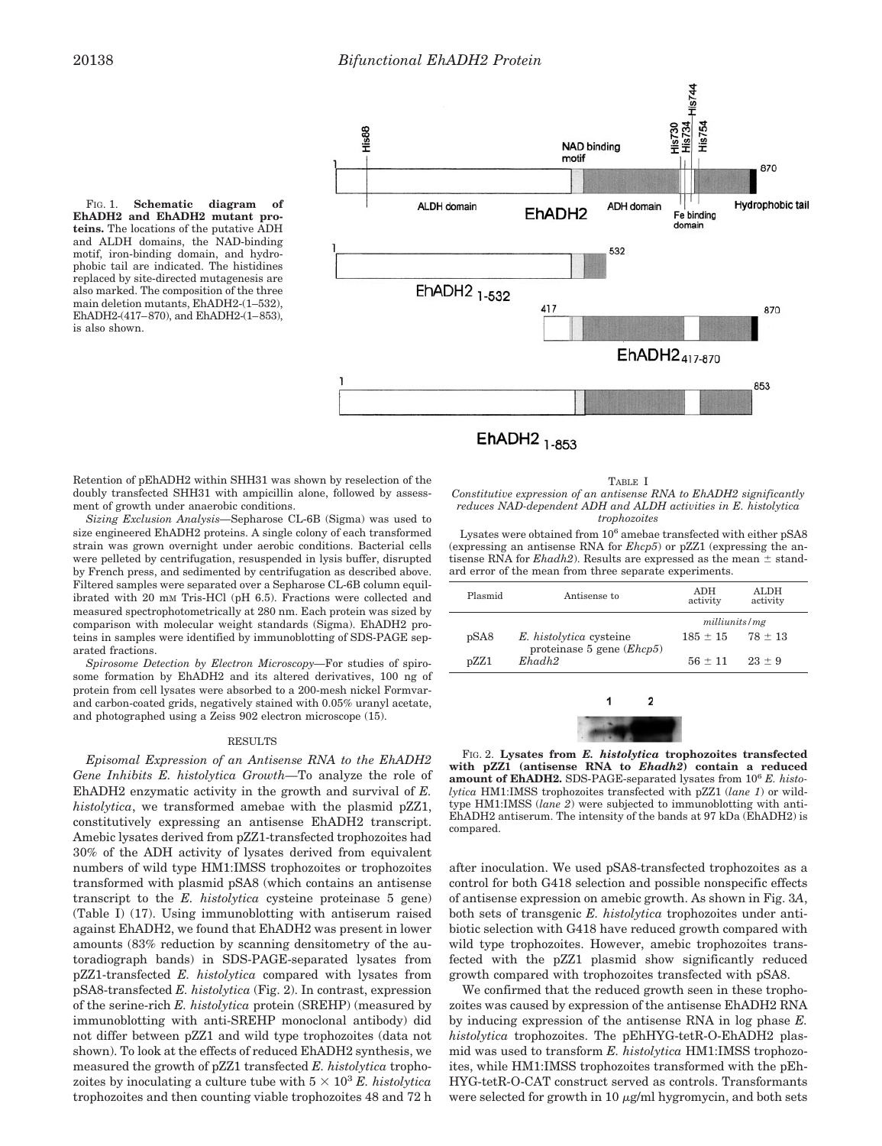FIG. 1. **Schematic diagram of EhADH2 and EhADH2 mutant proteins.** The locations of the putative ADH and ALDH domains, the NAD-binding motif, iron-binding domain, and hydrophobic tail are indicated. The histidines replaced by site-directed mutagenesis are also marked. The composition of the three main deletion mutants, EhADH2-(1–532), EhADH2-(417–870), and EhADH2-(1–853), is also shown.



Retention of pEhADH2 within SHH31 was shown by reselection of the doubly transfected SHH31 with ampicillin alone, followed by assessment of growth under anaerobic conditions.

*Sizing Exclusion Analysis—*Sepharose CL-6B (Sigma) was used to size engineered EhADH2 proteins. A single colony of each transformed strain was grown overnight under aerobic conditions. Bacterial cells were pelleted by centrifugation, resuspended in lysis buffer, disrupted by French press, and sedimented by centrifugation as described above. Filtered samples were separated over a Sepharose CL-6B column equilibrated with 20 mM Tris-HCl (pH 6.5). Fractions were collected and measured spectrophotometrically at 280 nm. Each protein was sized by comparison with molecular weight standards (Sigma). EhADH2 proteins in samples were identified by immunoblotting of SDS-PAGE separated fractions.

*Spirosome Detection by Electron Microscopy—*For studies of spirosome formation by EhADH2 and its altered derivatives, 100 ng of protein from cell lysates were absorbed to a 200-mesh nickel Formvarand carbon-coated grids, negatively stained with 0.05% uranyl acetate, and photographed using a Zeiss 902 electron microscope (15).

## RESULTS

*Episomal Expression of an Antisense RNA to the EhADH2 Gene Inhibits E. histolytica Growth—*To analyze the role of EhADH2 enzymatic activity in the growth and survival of *E. histolytica*, we transformed amebae with the plasmid pZZ1, constitutively expressing an antisense EhADH2 transcript. Amebic lysates derived from pZZ1-transfected trophozoites had 30% of the ADH activity of lysates derived from equivalent numbers of wild type HM1:IMSS trophozoites or trophozoites transformed with plasmid pSA8 (which contains an antisense transcript to the *E. histolytica* cysteine proteinase 5 gene) (Table I) (17). Using immunoblotting with antiserum raised against EhADH2, we found that EhADH2 was present in lower amounts (83% reduction by scanning densitometry of the autoradiograph bands) in SDS-PAGE-separated lysates from pZZ1-transfected *E. histolytica* compared with lysates from pSA8-transfected *E. histolytica* (Fig. 2). In contrast, expression of the serine-rich *E. histolytica* protein (SREHP) (measured by immunoblotting with anti-SREHP monoclonal antibody) did not differ between pZZ1 and wild type trophozoites (data not shown). To look at the effects of reduced EhADH2 synthesis, we measured the growth of pZZ1 transfected *E. histolytica* trophozoites by inoculating a culture tube with  $5 \times 10^3$  *E. histolytica* trophozoites and then counting viable trophozoites 48 and 72 h

TABLE I *Constitutive expression of an antisense RNA to EhADH2 significantly reduces NAD-dependent ADH and ALDH activities in E. histolytica trophozoites*

Lysates were obtained from  $10^6$  amebae transfected with either pSA8 (expressing an antisense RNA for *Ehcp5*) or pZZ1 (expressing the antisense RNA for *Ehadh2*). Results are expressed as the mean  $\pm$  standard error of the mean from three separate experiments.

| Plasmid | Antisense to                | <b>ADH</b><br>activity | <b>ALDH</b><br>activity |  |
|---------|-----------------------------|------------------------|-------------------------|--|
|         |                             | milliunits/mg          |                         |  |
| pSA8    | E. histolytica cysteine     | $185 \pm 15$           | $78 \pm 13$             |  |
|         | proteinase 5 gene $(Ehcp5)$ |                        |                         |  |
| pZZ1    | Ehadh2                      | $56 \pm 11$            | $23 \pm 9$              |  |
|         |                             |                        |                         |  |
|         |                             |                        |                         |  |
|         |                             |                        |                         |  |

FIG. 2. **Lysates from** *E. histolytica* **trophozoites transfected with pZZ1 (antisense RNA to** *Ehadh2***) contain a reduced** amount of EhADH2. SDS-PAGE-separated lysates from  $10^6$  *E. histolytica* HM1:IMSS trophozoites transfected with pZZ1 (*lane 1*) or wildtype HM1:IMSS (*lane 2*) were subjected to immunoblotting with anti-EhADH2 antiserum. The intensity of the bands at 97 kDa (EhADH2) is compared.

after inoculation. We used pSA8-transfected trophozoites as a control for both G418 selection and possible nonspecific effects of antisense expression on amebic growth. As shown in Fig. 3*A*, both sets of transgenic *E. histolytica* trophozoites under antibiotic selection with G418 have reduced growth compared with wild type trophozoites. However, amebic trophozoites transfected with the pZZ1 plasmid show significantly reduced growth compared with trophozoites transfected with pSA8.

We confirmed that the reduced growth seen in these trophozoites was caused by expression of the antisense EhADH2 RNA by inducing expression of the antisense RNA in log phase *E. histolytica* trophozoites. The pEhHYG-tetR-O-EhADH2 plasmid was used to transform *E. histolytica* HM1:IMSS trophozoites, while HM1:IMSS trophozoites transformed with the pEh-HYG-tetR-O-CAT construct served as controls. Transformants were selected for growth in 10  $\mu$ g/ml hygromycin, and both sets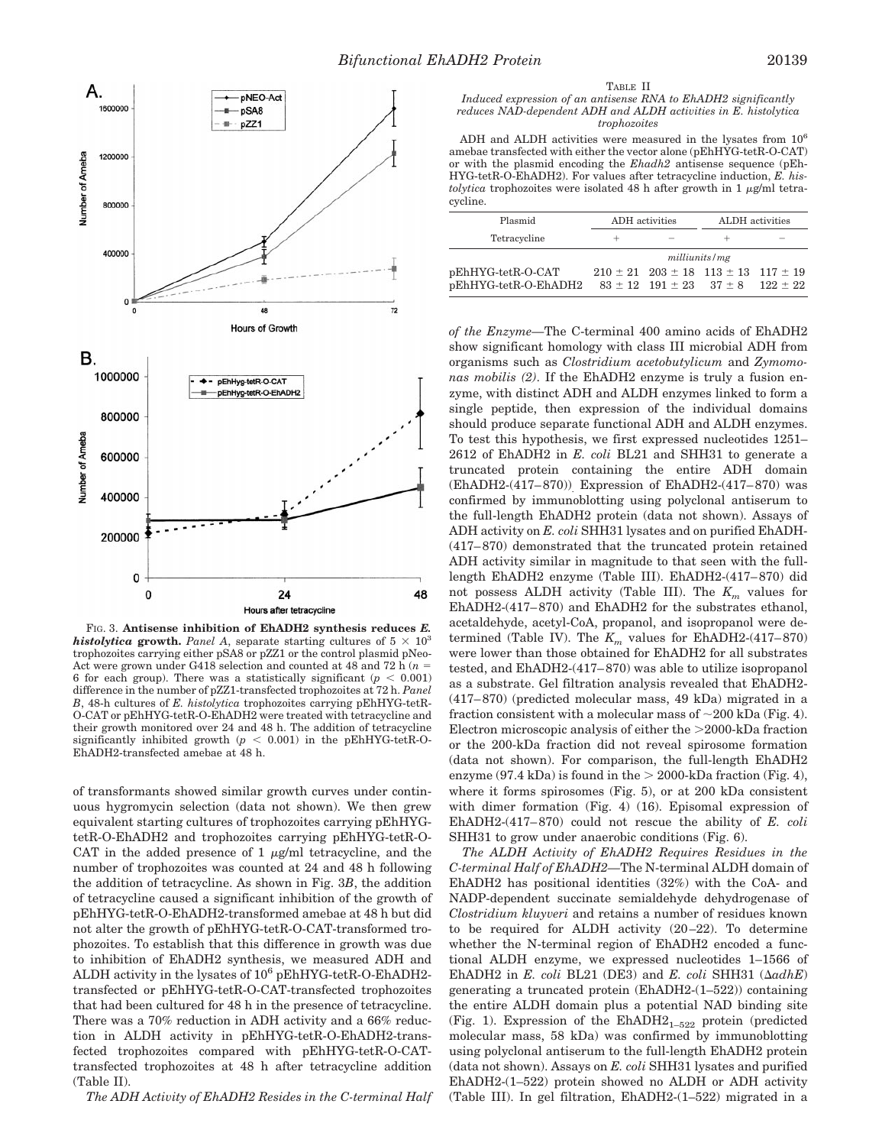

FIG. 3. **Antisense inhibition of EhADH2 synthesis reduces** *E. histolytica* growth. *Panel A*, separate starting cultures of  $5 \times 10^3$ trophozoites carrying either pSA8 or pZZ1 or the control plasmid pNeo-Act were grown under G418 selection and counted at 48 and 72 h  $(n =$ 6 for each group). There was a statistically significant  $(p < 0.001)$ difference in the number of pZZ1-transfected trophozoites at 72 h. *Panel B*, 48-h cultures of *E. histolytica* trophozoites carrying pEhHYG-tetR-O-CAT or pEhHYG-tetR-O-EhADH2 were treated with tetracycline and their growth monitored over 24 and 48 h. The addition of tetracycline significantly inhibited growth  $(p < 0.001)$  in the pEhHYG-tetR-O-EhADH2-transfected amebae at 48 h.

of transformants showed similar growth curves under continuous hygromycin selection (data not shown). We then grew equivalent starting cultures of trophozoites carrying pEhHYGtetR-O-EhADH2 and trophozoites carrying pEhHYG-tetR-O-CAT in the added presence of 1  $\mu$ g/ml tetracycline, and the number of trophozoites was counted at 24 and 48 h following the addition of tetracycline. As shown in Fig. 3*B*, the addition of tetracycline caused a significant inhibition of the growth of pEhHYG-tetR-O-EhADH2-transformed amebae at 48 h but did not alter the growth of pEhHYG-tetR-O-CAT-transformed trophozoites. To establish that this difference in growth was due to inhibition of EhADH2 synthesis, we measured ADH and ALDH activity in the lysates of  $10^6$  pEhHYG-tetR-O-EhADH2transfected or pEhHYG-tetR-O-CAT-transfected trophozoites that had been cultured for 48 h in the presence of tetracycline. There was a 70% reduction in ADH activity and a 66% reduction in ALDH activity in pEhHYG-tetR-O-EhADH2-transfected trophozoites compared with pEhHYG-tetR-O-CATtransfected trophozoites at 48 h after tetracycline addition (Table II).

*The ADH Activity of EhADH2 Resides in the C-terminal Half*

#### TABLE II

*Induced expression of an antisense RNA to EhADH2 significantly reduces NAD-dependent ADH and ALDH activities in E. histolytica trophozoites*

ADH and ALDH activities were measured in the lysates from  $10^6$ amebae transfected with either the vector alone (pEhHYG-tetR-O-CAT) or with the plasmid encoding the *Ehadh2* antisense sequence (pEh-HYG-tetR-O-EhADH2). For values after tetracycline induction, *E. histolytica* trophozoites were isolated 48 h after growth in 1  $\mu$ g/ml tetracycline.

| Plasmid                                   | ADH activities |                                | ALDH activities                                                                                         |  |
|-------------------------------------------|----------------|--------------------------------|---------------------------------------------------------------------------------------------------------|--|
| Tetracycline                              |                | $\qquad \qquad \longleftarrow$ |                                                                                                         |  |
|                                           | milli units/mg |                                |                                                                                                         |  |
| pEhHYG-tetR-O-CAT<br>pEhHYG-tetR-O-EhADH2 |                |                                | $210 \pm 21$ $203 \pm 18$ $113 \pm 13$ $117 \pm 19$<br>$83 \pm 12$ 191 $\pm 23$ 37 $\pm 8$ 122 $\pm 22$ |  |

*of the Enzyme—*The C-terminal 400 amino acids of EhADH2 show significant homology with class III microbial ADH from organisms such as *Clostridium acetobutylicum* and *Zymomonas mobilis (2)*. If the EhADH2 enzyme is truly a fusion enzyme, with distinct ADH and ALDH enzymes linked to form a single peptide, then expression of the individual domains should produce separate functional ADH and ALDH enzymes. To test this hypothesis, we first expressed nucleotides 1251– 2612 of EhADH2 in *E. coli* BL21 and SHH31 to generate a truncated protein containing the entire ADH domain (EhADH2-(417–870)). Expression of EhADH2-(417–870) was confirmed by immunoblotting using polyclonal antiserum to the full-length EhADH2 protein (data not shown). Assays of ADH activity on *E. coli* SHH31 lysates and on purified EhADH- (417–870) demonstrated that the truncated protein retained ADH activity similar in magnitude to that seen with the fulllength EhADH2 enzyme (Table III). EhADH2-(417–870) did not possess ALDH activity (Table III). The  $K_m$  values for EhADH2-(417–870) and EhADH2 for the substrates ethanol, acetaldehyde, acetyl-CoA, propanol, and isopropanol were determined (Table IV). The  $K_m$  values for EhADH2-(417–870) were lower than those obtained for EhADH2 for all substrates tested, and EhADH2-(417–870) was able to utilize isopropanol as a substrate. Gel filtration analysis revealed that EhADH2- (417–870) (predicted molecular mass, 49 kDa) migrated in a fraction consistent with a molecular mass of  $\sim$ 200 kDa (Fig. 4). Electron microscopic analysis of either the  $>$ 2000-kDa fraction or the 200-kDa fraction did not reveal spirosome formation (data not shown). For comparison, the full-length EhADH2 enzyme (97.4 kDa) is found in the  $> 2000$ -kDa fraction (Fig. 4), where it forms spirosomes (Fig. 5), or at 200 kDa consistent with dimer formation (Fig. 4) (16). Episomal expression of EhADH2-(417–870) could not rescue the ability of *E. coli* SHH31 to grow under anaerobic conditions (Fig. 6).

*The ALDH Activity of EhADH2 Requires Residues in the C-terminal Half of EhADH2—*The N-terminal ALDH domain of EhADH2 has positional identities (32%) with the CoA- and NADP-dependent succinate semialdehyde dehydrogenase of *Clostridium kluyveri* and retains a number of residues known to be required for ALDH activity (20–22). To determine whether the N-terminal region of EhADH2 encoded a functional ALDH enzyme, we expressed nucleotides 1–1566 of EhADH2 in  $E$ . coli BL21 (DE3) and  $E$ . coli SHH31 ( $\Delta a dhE$ ) generating a truncated protein (EhADH2-(1–522)) containing the entire ALDH domain plus a potential NAD binding site (Fig. 1). Expression of the  $EhADH2_{1-522}$  protein (predicted molecular mass, 58 kDa) was confirmed by immunoblotting using polyclonal antiserum to the full-length EhADH2 protein (data not shown). Assays on *E. coli* SHH31 lysates and purified EhADH2-(1–522) protein showed no ALDH or ADH activity (Table III). In gel filtration, EhADH2-(1–522) migrated in a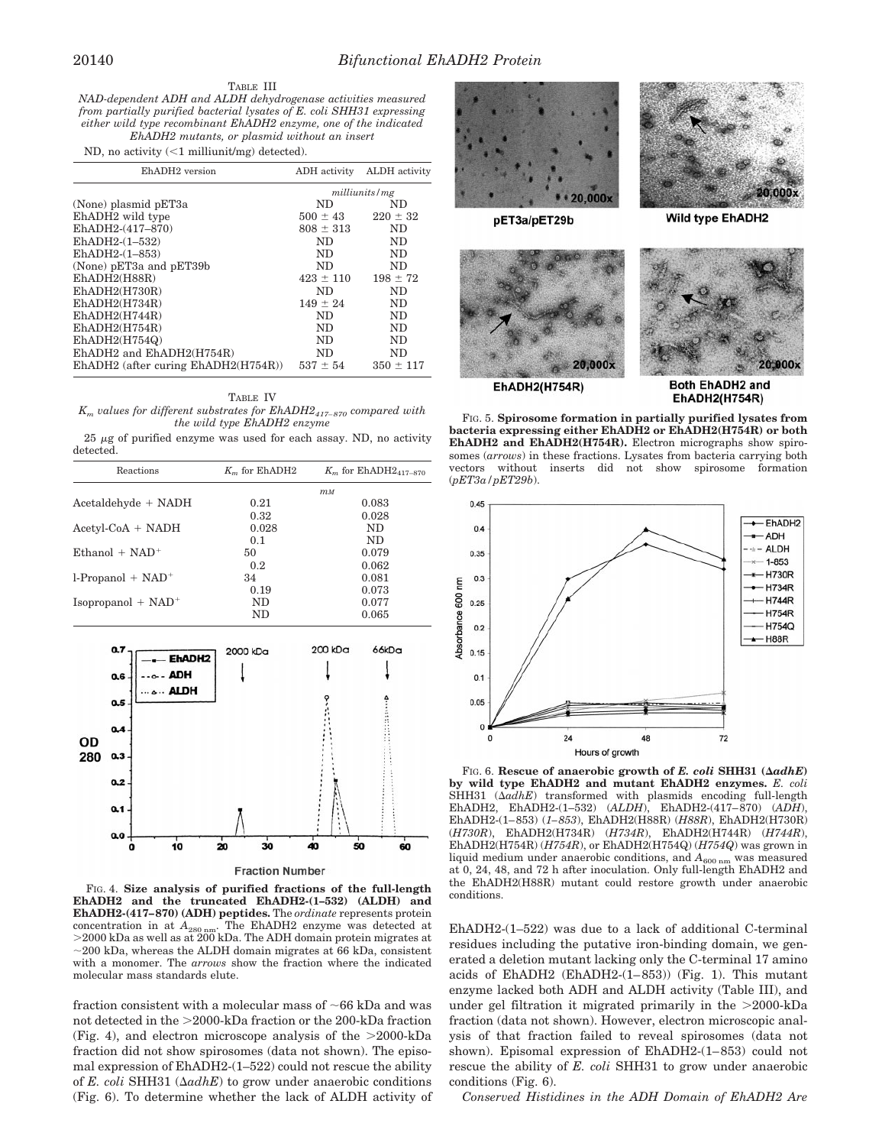## TABLE III

*NAD-dependent ADH and ALDH dehydrogenase activities measured from partially purified bacterial lysates of E. coli SHH31 expressing either wild type recombinant EhADH2 enzyme, one of the indicated EhADH2 mutants, or plasmid without an insert*

ND, no activity  $\left($  <1 milliunit/mg) detected).

| EhADH <sub>2</sub> version               |               | ADH activity ALDH activity |
|------------------------------------------|---------------|----------------------------|
|                                          | milliunits/mg |                            |
| (None) plasmid pET3a                     | ND.           | ND                         |
| EhADH <sub>2</sub> wild type             | $500 \pm 43$  | $220 \pm 32$               |
| EhADH2-(417-870)                         | $808 \pm 313$ | ND                         |
| EhADH2- $(1-532)$                        | ND.           | ND.                        |
| EhADH2- $(1-853)$                        | ND.           | ND.                        |
| (None) pET3a and pET39b                  | ND.           | ND.                        |
| EhADH2(H88R)                             | $423 \pm 110$ | $198 \pm 72$               |
| EhADH2(H730R)                            | ND.           | ND                         |
| EhADH2(H734R)                            | $149 \pm 24$  | ND.                        |
| EhADH2(H744R)                            | ND.           | ND.                        |
| EhADH2(H754R)                            | ND.           | ND.                        |
| EhADH2(H754Q)                            | ND.           | ND.                        |
| EhADH2 and EhADH2(H754R)                 | ND.           | ND.                        |
| $EhADH2$ (after curing $EhADH2(H754R)$ ) | $537 \pm 54$  | $350 \pm 117$              |

TABLE IV

*Km values for different substrates for EhADH2417–870 compared with the wild type EhADH2 enzyme*

 $25 \mu$ g of purified enzyme was used for each assay. ND, no activity detected.

| Reactions                        | $Km$ for EhADH2  | $K_m$ for EhADH2 <sub>417-870</sub> |  |
|----------------------------------|------------------|-------------------------------------|--|
|                                  | $m$ <sub>M</sub> |                                     |  |
| Acetaldehyde + NADH              | 0.21             | 0.083                               |  |
|                                  | 0.32             | 0.028                               |  |
| $Acetyl\text{-}CoA + NADH$       | 0.028            | ND.                                 |  |
|                                  | 0.1              | ND.                                 |  |
| $Ethanol + NAD+$                 | 50               | 0.079                               |  |
|                                  | 0.2              | 0.062                               |  |
| $l$ -Propanol + NAD <sup>+</sup> | 34               | 0.081                               |  |
|                                  | 0.19             | 0.073                               |  |
| $Isopropanol + NAD+$             | ND.              | 0.077                               |  |
|                                  | ND.              | 0.065                               |  |
|                                  |                  |                                     |  |



FIG. 4. **Size analysis of purified fractions of the full-length EhADH2 and the truncated EhADH2-(1–532) (ALDH) and EhADH2-(417–870) (ADH) peptides.** The *ordinate* represents protein concentration in at  $A_{280 \text{ nm}}$ . The EhADH2 enzyme was detected at  $>$ 2000 kDa as well as at 200 kDa. The ADH domain protein migrates at  $\sim$ 200 kDa, whereas the ALDH domain migrates at 66 kDa, consistent with a monomer. The *arrows* show the fraction where the indicated molecular mass standards elute.

fraction consistent with a molecular mass of  $\sim$  66 kDa and was not detected in the  $>$ 2000-kDa fraction or the 200-kDa fraction (Fig. 4), and electron microscope analysis of the  $>2000$ -kDa fraction did not show spirosomes (data not shown). The episomal expression of EhADH2-(1–522) could not rescue the ability of *E. coli* SHH31 ( $\Delta a d h E$ ) to grow under anaerobic conditions (Fig. 6). To determine whether the lack of ALDH activity of



**EhADH2(H754R)** 

Both EhADH2 and **EhADH2(H754R)** 

FIG. 5. **Spirosome formation in partially purified lysates from bacteria expressing either EhADH2 or EhADH2(H754R) or both EhADH2 and EhADH2(H754R).** Electron micrographs show spirosomes (*arrows*) in these fractions. Lysates from bacteria carrying both vectors without inserts did not show spirosome formation (*pET3a/pET29b*).



FIG. 6. Rescue of anaerobic growth of *E. coli* SHH31 ( $\Delta adhE$ ) **by wild type EhADH2 and mutant EhADH2 enzymes.** *E. coli* SHH31  $(\Delta adhE)$  transformed with plasmids encoding full-length EhADH2, EhADH2-(1–532) (*ALDH*), EhADH2-(417–870) (*ADH*), EhADH2-(1–853) (*1–853*), EhADH2(H88R) (*H88R*), EhADH2(H730R) (*H730R*), EhADH2(H734R) (*H734R*), EhADH2(H744R) (*H744R*), EhADH2(H754R) (*H754R*), or EhADH2(H754Q) (*H754Q*) was grown in liquid medium under anaerobic conditions, and  $A_{600 \text{ nm}}$  was measured at 0, 24, 48, and 72 h after inoculation. Only full-length EhADH2 and the EhADH2(H88R) mutant could restore growth under anaerobic conditions.

EhADH2-(1–522) was due to a lack of additional C-terminal residues including the putative iron-binding domain, we generated a deletion mutant lacking only the C-terminal 17 amino acids of EhADH2 (EhADH2-(1–853)) (Fig. 1). This mutant enzyme lacked both ADH and ALDH activity (Table III), and under gel filtration it migrated primarily in the  $>2000$ -kDa fraction (data not shown). However, electron microscopic analysis of that fraction failed to reveal spirosomes (data not shown). Episomal expression of EhADH2-(1–853) could not rescue the ability of *E. coli* SHH31 to grow under anaerobic conditions (Fig. 6).

*Conserved Histidines in the ADH Domain of EhADH2 Are*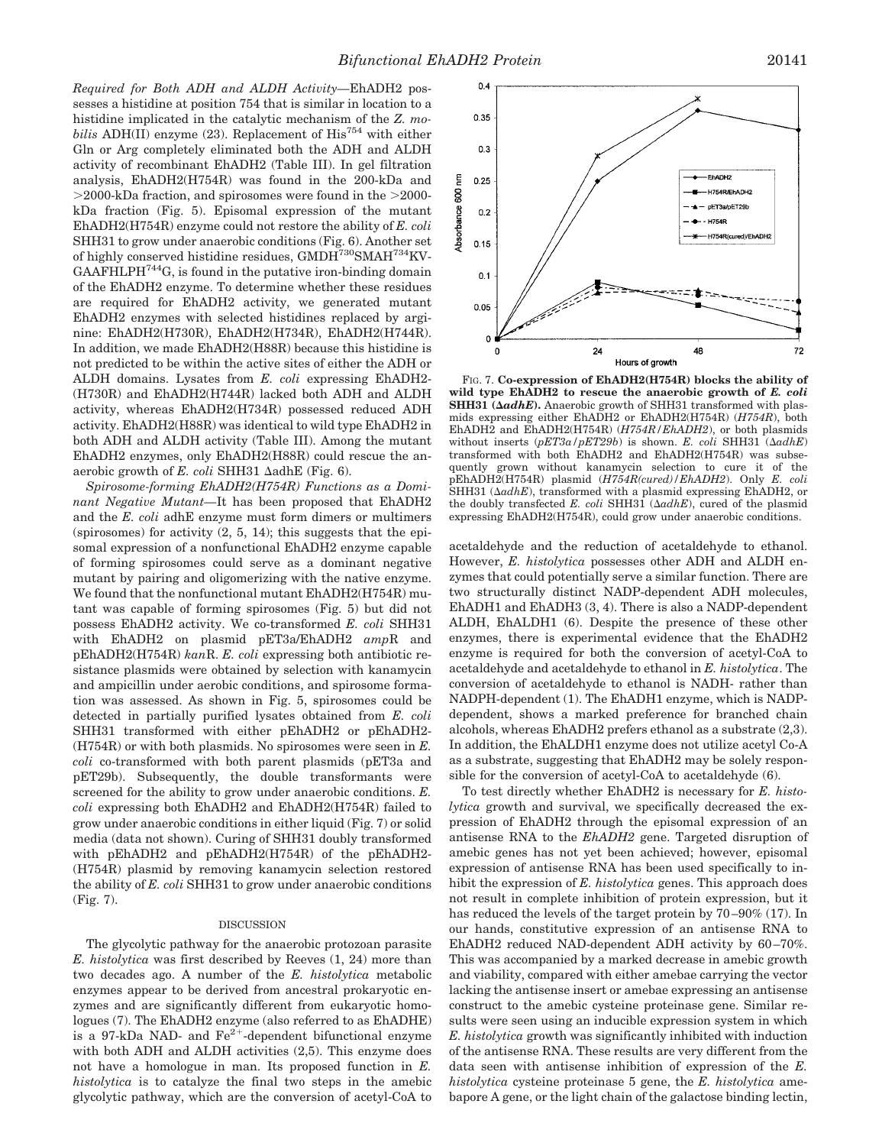*Required for Both ADH and ALDH Activity—*EhADH2 possesses a histidine at position 754 that is similar in location to a histidine implicated in the catalytic mechanism of the *Z. mobilis* ADH(II) enzyme (23). Replacement of His<sup>754</sup> with either Gln or Arg completely eliminated both the ADH and ALDH activity of recombinant EhADH2 (Table III). In gel filtration analysis, EhADH2(H754R) was found in the 200-kDa and  $>$ 2000-kDa fraction, and spirosomes were found in the  $>$ 2000kDa fraction (Fig. 5). Episomal expression of the mutant EhADH2(H754R) enzyme could not restore the ability of *E. coli* SHH31 to grow under anaerobic conditions (Fig. 6). Another set of highly conserved histidine residues, GMDH<sup>730</sup>SMAH<sup>734</sup>KV-GAAFHLPH744G, is found in the putative iron-binding domain of the EhADH2 enzyme. To determine whether these residues are required for EhADH2 activity, we generated mutant EhADH2 enzymes with selected histidines replaced by arginine: EhADH2(H730R), EhADH2(H734R), EhADH2(H744R). In addition, we made EhADH2(H88R) because this histidine is not predicted to be within the active sites of either the ADH or ALDH domains. Lysates from *E. coli* expressing EhADH2- (H730R) and EhADH2(H744R) lacked both ADH and ALDH activity, whereas EhADH2(H734R) possessed reduced ADH activity. EhADH2(H88R) was identical to wild type EhADH2 in both ADH and ALDH activity (Table III). Among the mutant EhADH2 enzymes, only EhADH2(H88R) could rescue the anaerobic growth of  $E.$  coli SHH31  $\Delta$ adhE (Fig. 6).

*Spirosome-forming EhADH2(H754R) Functions as a Dominant Negative Mutant—*It has been proposed that EhADH2 and the *E. coli* adhE enzyme must form dimers or multimers (spirosomes) for activity  $(2, 5, 14)$ ; this suggests that the episomal expression of a nonfunctional EhADH2 enzyme capable of forming spirosomes could serve as a dominant negative mutant by pairing and oligomerizing with the native enzyme. We found that the nonfunctional mutant EhADH2(H754R) mutant was capable of forming spirosomes (Fig. 5) but did not possess EhADH2 activity. We co-transformed *E. coli* SHH31 with EhADH2 on plasmid pET3a/EhADH2 *amp*R and pEhADH2(H754R) *kan*R. *E. coli* expressing both antibiotic resistance plasmids were obtained by selection with kanamycin and ampicillin under aerobic conditions, and spirosome formation was assessed. As shown in Fig. 5, spirosomes could be detected in partially purified lysates obtained from *E. coli* SHH31 transformed with either pEhADH2 or pEhADH2- (H754R) or with both plasmids. No spirosomes were seen in *E. coli* co-transformed with both parent plasmids (pET3a and pET29b). Subsequently, the double transformants were screened for the ability to grow under anaerobic conditions. *E. coli* expressing both EhADH2 and EhADH2(H754R) failed to grow under anaerobic conditions in either liquid (Fig. 7) or solid media (data not shown). Curing of SHH31 doubly transformed with pEhADH2 and pEhADH2(H754R) of the pEhADH2- (H754R) plasmid by removing kanamycin selection restored the ability of *E. coli* SHH31 to grow under anaerobic conditions (Fig. 7).

## DISCUSSION

The glycolytic pathway for the anaerobic protozoan parasite *E. histolytica* was first described by Reeves (1, 24) more than two decades ago. A number of the *E. histolytica* metabolic enzymes appear to be derived from ancestral prokaryotic enzymes and are significantly different from eukaryotic homologues (7). The EhADH2 enzyme (also referred to as EhADHE) is a 97-kDa NAD- and  $\text{Fe}^{2+}$ -dependent bifunctional enzyme with both ADH and ALDH activities (2,5). This enzyme does not have a homologue in man. Its proposed function in *E. histolytica* is to catalyze the final two steps in the amebic glycolytic pathway, which are the conversion of acetyl-CoA to



FIG. 7. **Co-expression of EhADH2(H754R) blocks the ability of wild type EhADH2 to rescue the anaerobic growth of** *E. coli* SHH31 ( $\Delta adhE$ ). Anaerobic growth of SHH31 transformed with plasmids expressing either EhADH2 or EhADH2(H754R) (*H754R*), both EhADH2 and EhADH2(H754R) (*H754R/EhADH2*), or both plasmids without inserts  $(pET3a/pET29b)$  is shown. *E. coli* SHH31  $(\Delta adhE)$ transformed with both EhADH2 and EhADH2(H754R) was subsequently grown without kanamycin selection to cure it of the pEhADH2(H754R) plasmid (*H754R(cured)/EhADH2*). Only *E. coli* SHH31  $(\Delta a d h E)$ , transformed with a plasmid expressing EhADH2, or the doubly transfected *E. coli* SHH31 ( $\Delta adhE$ ), cured of the plasmid expressing EhADH2(H754R), could grow under anaerobic conditions.

acetaldehyde and the reduction of acetaldehyde to ethanol. However, *E. histolytica* possesses other ADH and ALDH enzymes that could potentially serve a similar function. There are two structurally distinct NADP-dependent ADH molecules, EhADH1 and EhADH3 (3, 4). There is also a NADP-dependent ALDH, EhALDH1 (6). Despite the presence of these other enzymes, there is experimental evidence that the EhADH2 enzyme is required for both the conversion of acetyl-CoA to acetaldehyde and acetaldehyde to ethanol in *E. histolytica*. The conversion of acetaldehyde to ethanol is NADH- rather than NADPH-dependent (1). The EhADH1 enzyme, which is NADPdependent, shows a marked preference for branched chain alcohols, whereas EhADH2 prefers ethanol as a substrate (2,3). In addition, the EhALDH1 enzyme does not utilize acetyl Co-A as a substrate, suggesting that EhADH2 may be solely responsible for the conversion of acetyl-CoA to acetaldehyde (6).

To test directly whether EhADH2 is necessary for *E. histolytica* growth and survival, we specifically decreased the expression of EhADH2 through the episomal expression of an antisense RNA to the *EhADH2* gene. Targeted disruption of amebic genes has not yet been achieved; however, episomal expression of antisense RNA has been used specifically to inhibit the expression of *E. histolytica* genes. This approach does not result in complete inhibition of protein expression, but it has reduced the levels of the target protein by 70–90% (17). In our hands, constitutive expression of an antisense RNA to EhADH2 reduced NAD-dependent ADH activity by 60–70%. This was accompanied by a marked decrease in amebic growth and viability, compared with either amebae carrying the vector lacking the antisense insert or amebae expressing an antisense construct to the amebic cysteine proteinase gene. Similar results were seen using an inducible expression system in which *E. histolytica* growth was significantly inhibited with induction of the antisense RNA. These results are very different from the data seen with antisense inhibition of expression of the *E. histolytica* cysteine proteinase 5 gene, the *E. histolytica* amebapore A gene, or the light chain of the galactose binding lectin,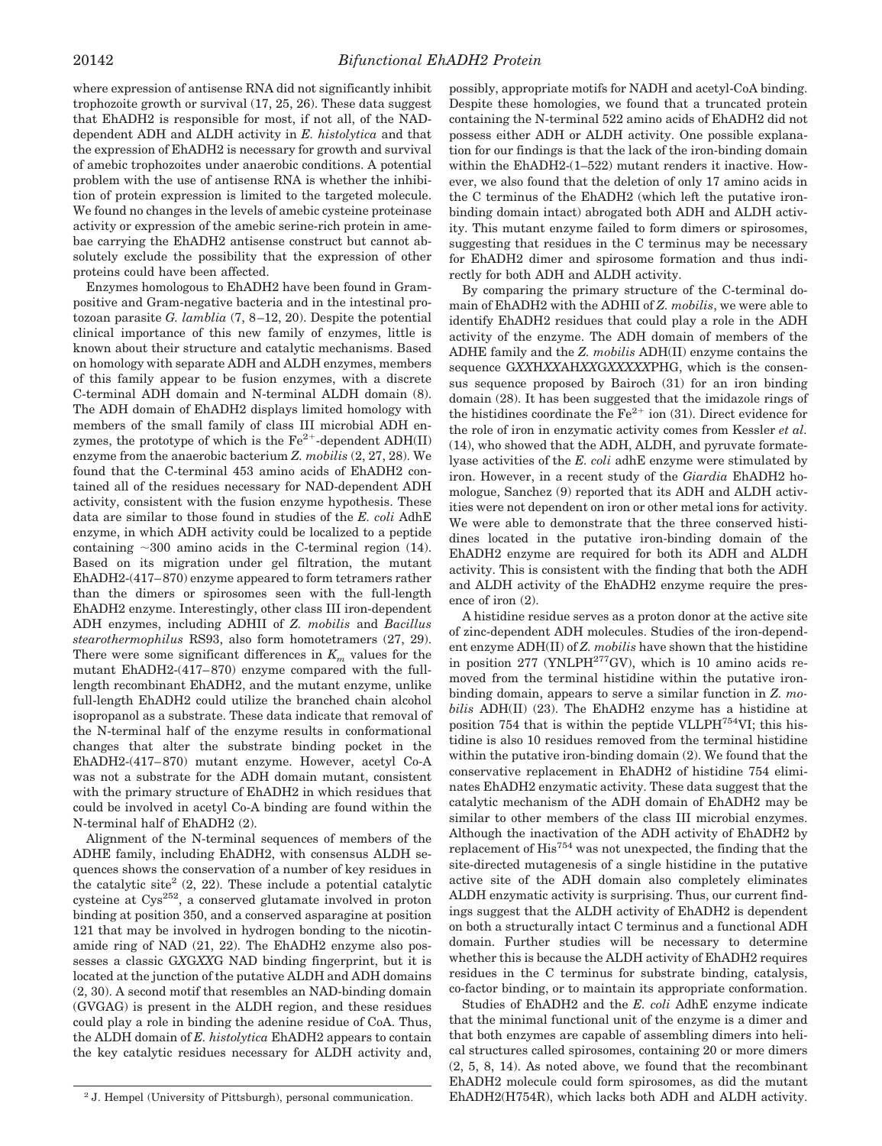where expression of antisense RNA did not significantly inhibit trophozoite growth or survival (17, 25, 26). These data suggest that EhADH2 is responsible for most, if not all, of the NADdependent ADH and ALDH activity in *E. histolytica* and that the expression of EhADH2 is necessary for growth and survival of amebic trophozoites under anaerobic conditions. A potential problem with the use of antisense RNA is whether the inhibition of protein expression is limited to the targeted molecule. We found no changes in the levels of amebic cysteine proteinase activity or expression of the amebic serine-rich protein in amebae carrying the EhADH2 antisense construct but cannot absolutely exclude the possibility that the expression of other proteins could have been affected.

Enzymes homologous to EhADH2 have been found in Grampositive and Gram-negative bacteria and in the intestinal protozoan parasite *G. lamblia* (7, 8–12, 20). Despite the potential clinical importance of this new family of enzymes, little is known about their structure and catalytic mechanisms. Based on homology with separate ADH and ALDH enzymes, members of this family appear to be fusion enzymes, with a discrete C-terminal ADH domain and N-terminal ALDH domain (8). The ADH domain of EhADH2 displays limited homology with members of the small family of class III microbial ADH enzymes, the prototype of which is the  $Fe^{2+}$ -dependent ADH(II) enzyme from the anaerobic bacterium *Z. mobilis* (2, 27, 28). We found that the C-terminal 453 amino acids of EhADH2 contained all of the residues necessary for NAD-dependent ADH activity, consistent with the fusion enzyme hypothesis. These data are similar to those found in studies of the *E. coli* AdhE enzyme, in which ADH activity could be localized to a peptide containing  $\sim 300$  amino acids in the C-terminal region (14). Based on its migration under gel filtration, the mutant EhADH2-(417–870) enzyme appeared to form tetramers rather than the dimers or spirosomes seen with the full-length EhADH2 enzyme. Interestingly, other class III iron-dependent ADH enzymes, including ADHII of *Z. mobilis* and *Bacillus stearothermophilus* RS93, also form homotetramers (27, 29). There were some significant differences in  $K<sub>m</sub>$  values for the mutant EhADH2-(417–870) enzyme compared with the fulllength recombinant EhADH2, and the mutant enzyme, unlike full-length EhADH2 could utilize the branched chain alcohol isopropanol as a substrate. These data indicate that removal of the N-terminal half of the enzyme results in conformational changes that alter the substrate binding pocket in the EhADH2-(417–870) mutant enzyme. However, acetyl Co-A was not a substrate for the ADH domain mutant, consistent with the primary structure of EhADH2 in which residues that could be involved in acetyl Co-A binding are found within the N-terminal half of EhADH2 (2).

Alignment of the N-terminal sequences of members of the ADHE family, including EhADH2, with consensus ALDH sequences shows the conservation of a number of key residues in the catalytic site<sup>2</sup>  $(2, 22)$ . These include a potential catalytic cysteine at Cys252, a conserved glutamate involved in proton binding at position 350, and a conserved asparagine at position 121 that may be involved in hydrogen bonding to the nicotinamide ring of NAD (21, 22). The EhADH2 enzyme also possesses a classic G*X*G*XX*G NAD binding fingerprint, but it is located at the junction of the putative ALDH and ADH domains (2, 30). A second motif that resembles an NAD-binding domain (GVGAG) is present in the ALDH region, and these residues could play a role in binding the adenine residue of CoA. Thus, the ALDH domain of *E. histolytica* EhADH2 appears to contain the key catalytic residues necessary for ALDH activity and,

possibly, appropriate motifs for NADH and acetyl-CoA binding. Despite these homologies, we found that a truncated protein containing the N-terminal 522 amino acids of EhADH2 did not possess either ADH or ALDH activity. One possible explanation for our findings is that the lack of the iron-binding domain within the EhADH2-(1–522) mutant renders it inactive. However, we also found that the deletion of only 17 amino acids in the C terminus of the EhADH2 (which left the putative ironbinding domain intact) abrogated both ADH and ALDH activity. This mutant enzyme failed to form dimers or spirosomes, suggesting that residues in the C terminus may be necessary for EhADH2 dimer and spirosome formation and thus indirectly for both ADH and ALDH activity.

By comparing the primary structure of the C-terminal domain of EhADH2 with the ADHII of *Z. mobilis*, we were able to identify EhADH2 residues that could play a role in the ADH activity of the enzyme. The ADH domain of members of the ADHE family and the *Z. mobilis* ADH(II) enzyme contains the sequence G*XX*H*XX*AH*XX*G*XXXXX*PHG, which is the consensus sequence proposed by Bairoch (31) for an iron binding domain (28). It has been suggested that the imidazole rings of the histidines coordinate the  $Fe^{2+}$  ion (31). Direct evidence for the role of iron in enzymatic activity comes from Kessler *et al.* (14), who showed that the ADH, ALDH, and pyruvate formatelyase activities of the *E. coli* adhE enzyme were stimulated by iron. However, in a recent study of the *Giardia* EhADH2 homologue, Sanchez (9) reported that its ADH and ALDH activities were not dependent on iron or other metal ions for activity. We were able to demonstrate that the three conserved histidines located in the putative iron-binding domain of the EhADH2 enzyme are required for both its ADH and ALDH activity. This is consistent with the finding that both the ADH and ALDH activity of the EhADH2 enzyme require the presence of iron (2).

A histidine residue serves as a proton donor at the active site of zinc-dependent ADH molecules. Studies of the iron-dependent enzyme ADH(II) of *Z. mobilis* have shown that the histidine in position  $277$  (YNLPH<sup>277</sup>GV), which is 10 amino acids removed from the terminal histidine within the putative ironbinding domain, appears to serve a similar function in *Z. mobilis* ADH(II) (23). The EhADH2 enzyme has a histidine at position 754 that is within the peptide VLLPH $^{754}$ VI; this histidine is also 10 residues removed from the terminal histidine within the putative iron-binding domain (2). We found that the conservative replacement in EhADH2 of histidine 754 eliminates EhADH2 enzymatic activity. These data suggest that the catalytic mechanism of the ADH domain of EhADH2 may be similar to other members of the class III microbial enzymes. Although the inactivation of the ADH activity of EhADH2 by replacement of His<sup>754</sup> was not unexpected, the finding that the site-directed mutagenesis of a single histidine in the putative active site of the ADH domain also completely eliminates ALDH enzymatic activity is surprising. Thus, our current findings suggest that the ALDH activity of EhADH2 is dependent on both a structurally intact C terminus and a functional ADH domain. Further studies will be necessary to determine whether this is because the ALDH activity of EhADH2 requires residues in the C terminus for substrate binding, catalysis, co-factor binding, or to maintain its appropriate conformation.

Studies of EhADH2 and the *E. coli* AdhE enzyme indicate that the minimal functional unit of the enzyme is a dimer and that both enzymes are capable of assembling dimers into helical structures called spirosomes, containing 20 or more dimers (2, 5, 8, 14). As noted above, we found that the recombinant EhADH2 molecule could form spirosomes, as did the mutant <sup>2</sup> J. Hempel (University of Pittsburgh), personal communication. EhADH2(H754R), which lacks both ADH and ALDH activity.